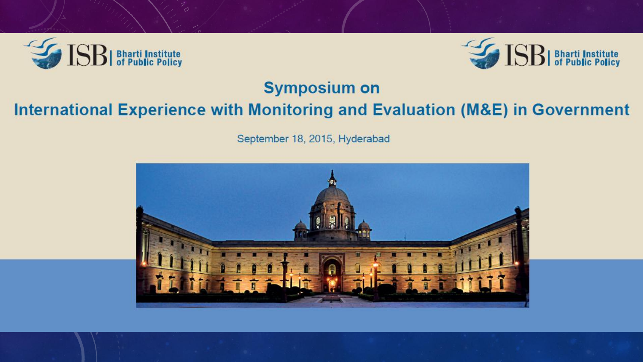



#### **Symposium on**

#### International Experience with Monitoring and Evaluation (M&E) in Government

September 18, 2015, Hyderabad

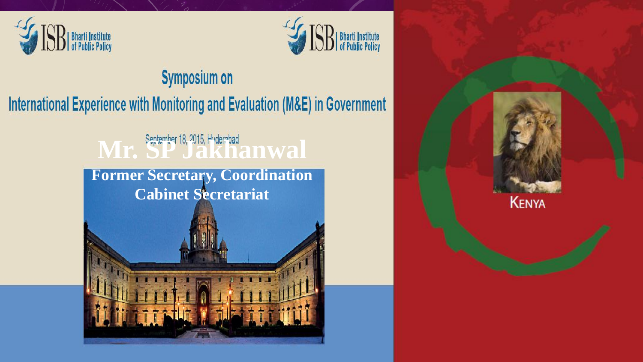



### **Symposium on** International Experience with Monitoring and Evaluation (M&E) in Government

## Mr. September 18, 2015, Hyderabad

**Former Secretary, Coordination Cabinet Secretariat**



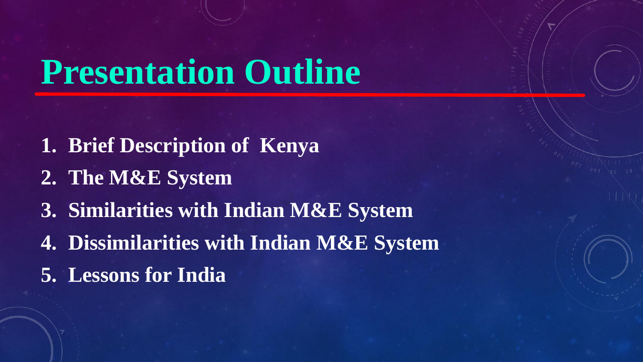# **Presentation Outline**

- **1. Brief Description of Kenya**
- **2. The M&E System**
- **3. Similarities with Indian M&E System**
- **4. Dissimilarities with Indian M&E System**
- **5. Lessons for India**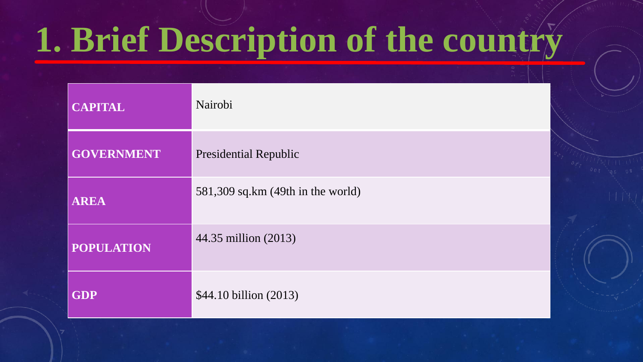# **1. Brief Description of the country**

| <b>CAPITAL</b>    | Nairobi                             |
|-------------------|-------------------------------------|
| <b>GOVERNMENT</b> | <b>Presidential Republic</b>        |
| <b>AREA</b>       | $581,309$ sq.km (49th in the world) |
| <b>POPULATION</b> | 44.35 million (2013)                |
| <b>GDP</b>        | \$44.10 billion (2013)              |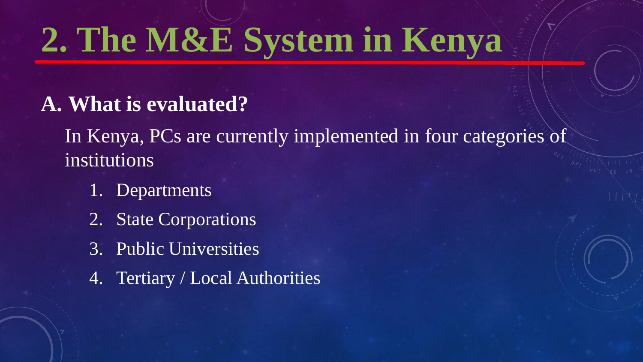### **A. What is evaluated?**

In Kenya, PCs are currently implemented in four categories of institutions

- 1. Departments
- 2. State Corporations
- 3. Public Universities
- 4. Tertiary / Local Authorities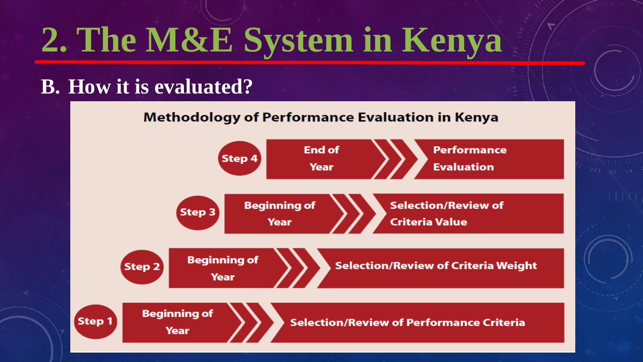### **B. How it is evaluated?**

**Methodology of Performance Evaluation in Kenya** 

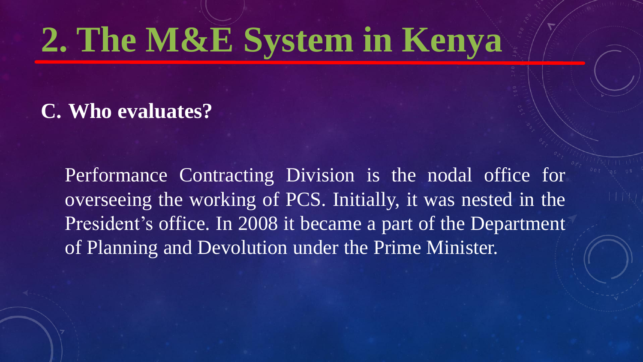**C. Who evaluates?**

Performance Contracting Division is the nodal office for overseeing the working of PCS. Initially, it was nested in the President's office. In 2008 it became a part of the Department of Planning and Devolution under the Prime Minister.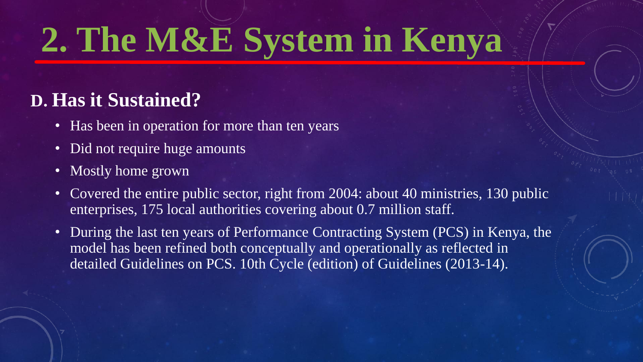### **D. Has it Sustained?**

- Has been in operation for more than ten years
- Did not require huge amounts
- Mostly home grown
- Covered the entire public sector, right from 2004: about 40 ministries, 130 public enterprises, 175 local authorities covering about 0.7 million staff.
- During the last ten years of Performance Contracting System (PCS) in Kenya, the model has been refined both conceptually and operationally as reflected in detailed Guidelines on PCS. 10th Cycle (edition) of Guidelines (2013-14).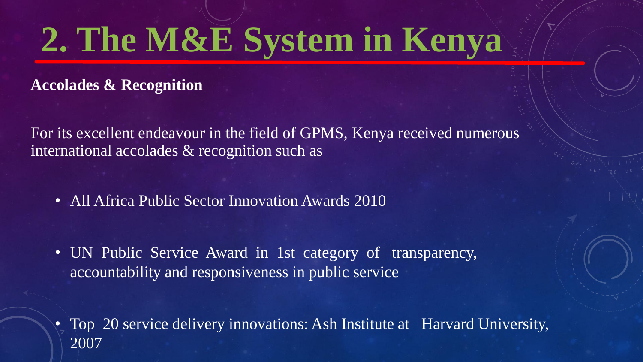**Accolades & Recognition** 

For its excellent endeavour in the field of GPMS, Kenya received numerous international accolades & recognition such as

- All Africa Public Sector Innovation Awards 2010
- UN Public Service Award in 1st category of transparency, accountability and responsiveness in public service
- Top 20 service delivery innovations: Ash Institute at Harvard University, 2007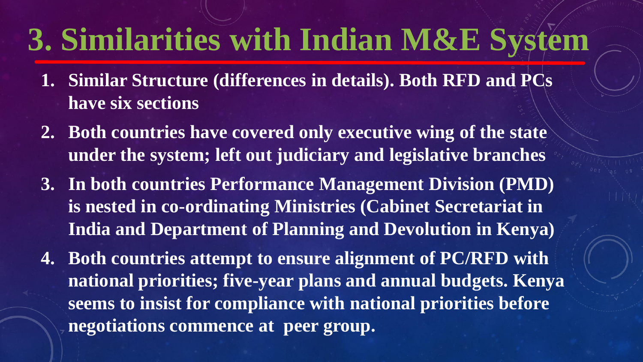## **3. Similarities with Indian M&E System**

- **1. Similar Structure (differences in details). Both RFD and PCs have six sections**
- **2. Both countries have covered only executive wing of the state under the system; left out judiciary and legislative branches**
- **3. In both countries Performance Management Division (PMD) is nested in co-ordinating Ministries (Cabinet Secretariat in India and Department of Planning and Devolution in Kenya)**
- **4. Both countries attempt to ensure alignment of PC/RFD with national priorities; five-year plans and annual budgets. Kenya seems to insist for compliance with national priorities before negotiations commence at peer group.**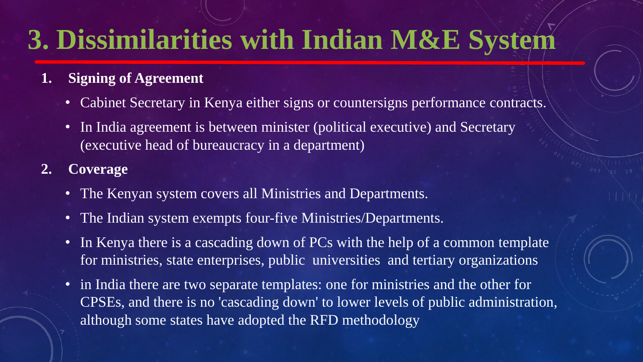### **3. Dissimilarities with Indian M&E System**

#### **1. Signing of Agreement**

- Cabinet Secretary in Kenya either signs or countersigns performance contracts.
- In India agreement is between minister (political executive) and Secretary (executive head of bureaucracy in a department)

#### **2. Coverage**

- The Kenyan system covers all Ministries and Departments.
- The Indian system exempts four-five Ministries/Departments.
- In Kenya there is a cascading down of PCs with the help of a common template for ministries, state enterprises, public universities and tertiary organizations
- in India there are two separate templates: one for ministries and the other for CPSEs, and there is no 'cascading down' to lower levels of public administration, although some states have adopted the RFD methodology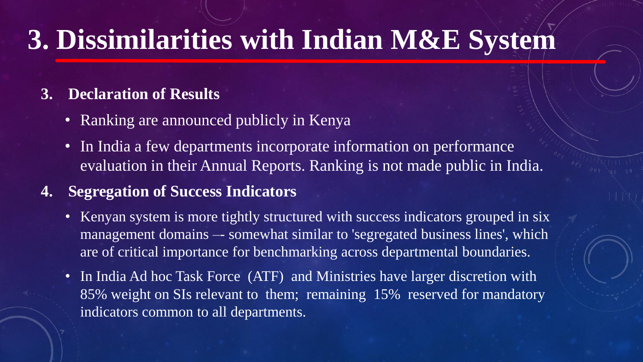### **3. Dissimilarities with Indian M&E System**

#### **3. Declaration of Results**

- Ranking are announced publicly in Kenya
- In India a few departments incorporate information on performance evaluation in their Annual Reports. Ranking is not made public in India.

#### **4. Segregation of Success Indicators**

- Kenyan system is more tightly structured with success indicators grouped in six management domains -- somewhat similar to 'segregated business lines', which are of critical importance for benchmarking across departmental boundaries.
- In India Ad hoc Task Force (ATF) and Ministries have larger discretion with 85% weight on SIs relevant to them; remaining 15% reserved for mandatory indicators common to all departments.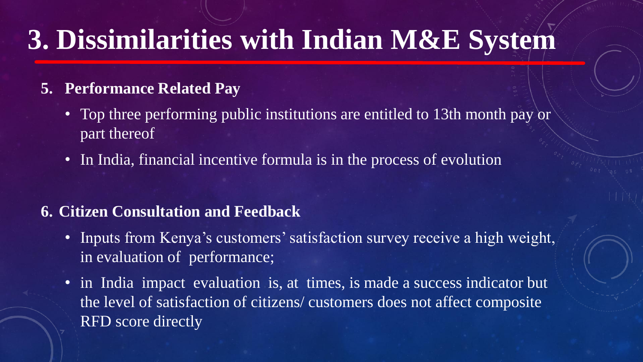### **3. Dissimilarities with Indian M&E System**

#### **5. Performance Related Pay**

- Top three performing public institutions are entitled to 13th month pay or part thereof
- In India, financial incentive formula is in the process of evolution

#### **6. Citizen Consultation and Feedback**

- Inputs from Kenya's customers' satisfaction survey receive a high weight, in evaluation of performance;
- in India impact evaluation is, at times, is made a success indicator but the level of satisfaction of citizens/ customers does not affect composite RFD score directly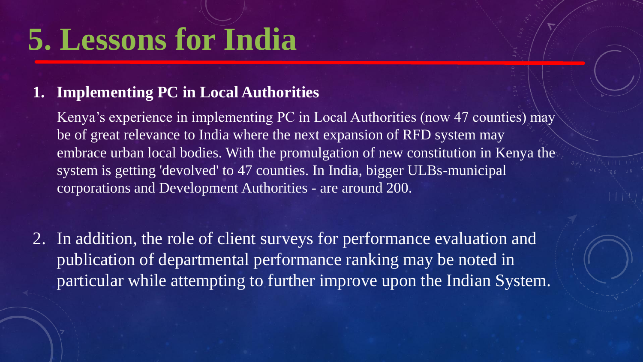## **5. Lessons for India**

#### **1. Implementing PC in Local Authorities**

Kenya's experience in implementing PC in Local Authorities (now 47 counties) may be of great relevance to India where the next expansion of RFD system may embrace urban local bodies. With the promulgation of new constitution in Kenya the system is getting 'devolved' to 47 counties. In India, bigger ULBs-municipal corporations and Development Authorities - are around 200.

2. In addition, the role of client surveys for performance evaluation and publication of departmental performance ranking may be noted in particular while attempting to further improve upon the Indian System.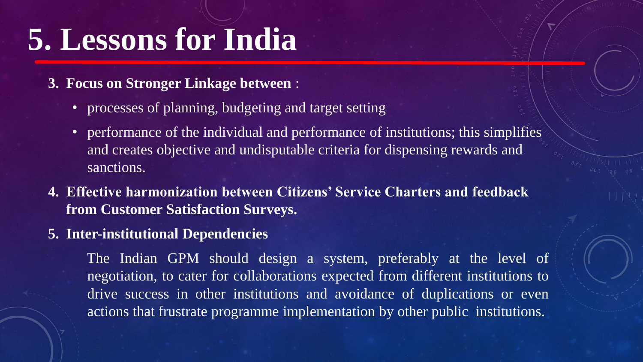## **5. Lessons for India**

#### **3. Focus on Stronger Linkage between** :

- processes of planning, budgeting and target setting
- performance of the individual and performance of institutions; this simplifies and creates objective and undisputable criteria for dispensing rewards and sanctions.
- **4. Effective harmonization between Citizens' Service Charters and feedback from Customer Satisfaction Surveys.**
- **5. Inter-institutional Dependencies**

The Indian GPM should design a system, preferably at the level of negotiation, to cater for collaborations expected from different institutions to drive success in other institutions and avoidance of duplications or even actions that frustrate programme implementation by other public institutions.